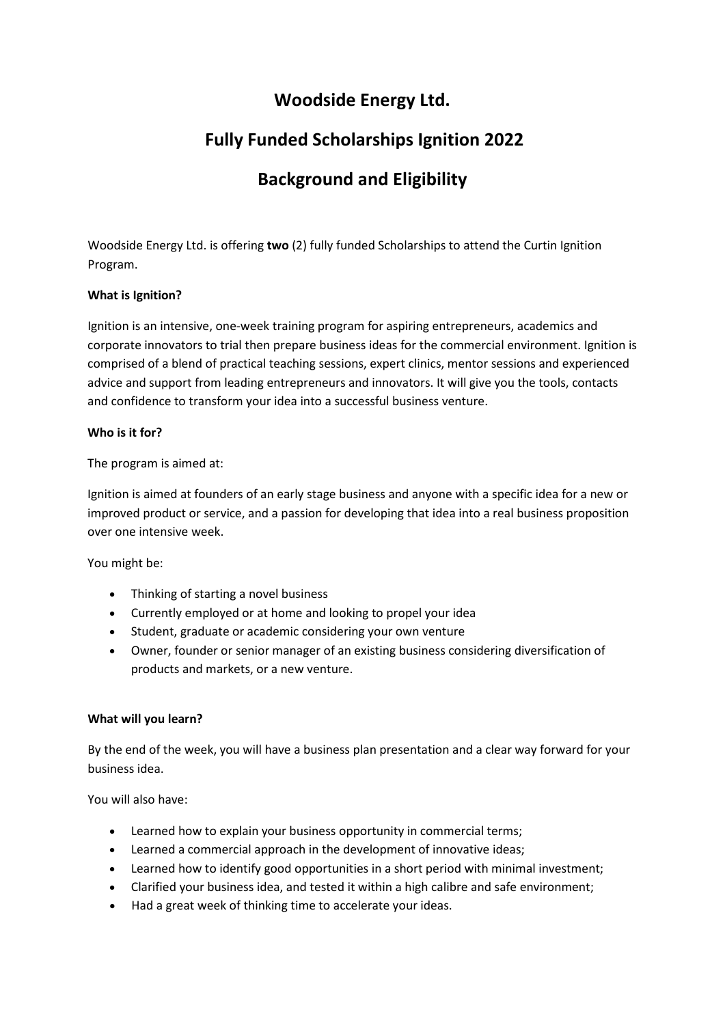### **Woodside Energy Ltd.**

# **Fully Funded Scholarships Ignition 2022**

# **Background and Eligibility**

Woodside Energy Ltd. is offering **two** (2) fully funded Scholarships to attend the Curtin Ignition Program.

### **What is Ignition?**

Ignition is an intensive, one-week training program for aspiring entrepreneurs, academics and corporate innovators to trial then prepare business ideas for the commercial environment. Ignition is comprised of a blend of practical teaching sessions, expert clinics, mentor sessions and experienced advice and support from leading entrepreneurs and innovators. It will give you the tools, contacts and confidence to transform your idea into a successful business venture.

### **Who is it for?**

The program is aimed at:

Ignition is aimed at founders of an early stage business and anyone with a specific idea for a new or improved product or service, and a passion for developing that idea into a real business proposition over one intensive week.

You might be:

- Thinking of starting a novel business
- Currently employed or at home and looking to propel your idea
- Student, graduate or academic considering your own venture
- Owner, founder or senior manager of an existing business considering diversification of products and markets, or a new venture.

### **What will you learn?**

By the end of the week, you will have a business plan presentation and a clear way forward for your business idea.

You will also have:

- Learned how to explain your business opportunity in commercial terms;
- Learned a commercial approach in the development of innovative ideas;
- Learned how to identify good opportunities in a short period with minimal investment;
- Clarified your business idea, and tested it within a high calibre and safe environment;
- Had a great week of thinking time to accelerate your ideas.